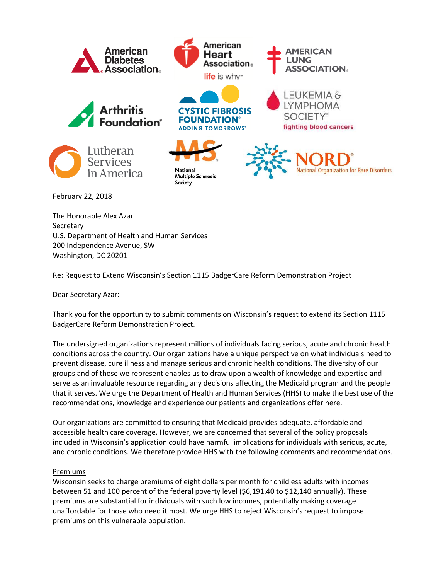

The Honorable Alex Azar **Secretary** U.S. Department of Health and Human Services 200 Independence Avenue, SW Washington, DC 20201

Re: Request to Extend Wisconsin's Section 1115 BadgerCare Reform Demonstration Project

Dear Secretary Azar:

Thank you for the opportunity to submit comments on Wisconsin's request to extend its Section 1115 BadgerCare Reform Demonstration Project.

The undersigned organizations represent millions of individuals facing serious, acute and chronic health conditions across the country. Our organizations have a unique perspective on what individuals need to prevent disease, cure illness and manage serious and chronic health conditions. The diversity of our groups and of those we represent enables us to draw upon a wealth of knowledge and expertise and serve as an invaluable resource regarding any decisions affecting the Medicaid program and the people that it serves. We urge the Department of Health and Human Services (HHS) to make the best use of the recommendations, knowledge and experience our patients and organizations offer here.

Our organizations are committed to ensuring that Medicaid provides adequate, affordable and accessible health care coverage. However, we are concerned that several of the policy proposals included in Wisconsin's application could have harmful implications for individuals with serious, acute, and chronic conditions. We therefore provide HHS with the following comments and recommendations.

## Premiums

Wisconsin seeks to charge premiums of eight dollars per month for childless adults with incomes between 51 and 100 percent of the federal poverty level (\$6,191.40 to \$12,140 annually). These premiums are substantial for individuals with such low incomes, potentially making coverage unaffordable for those who need it most. We urge HHS to reject Wisconsin's request to impose premiums on this vulnerable population.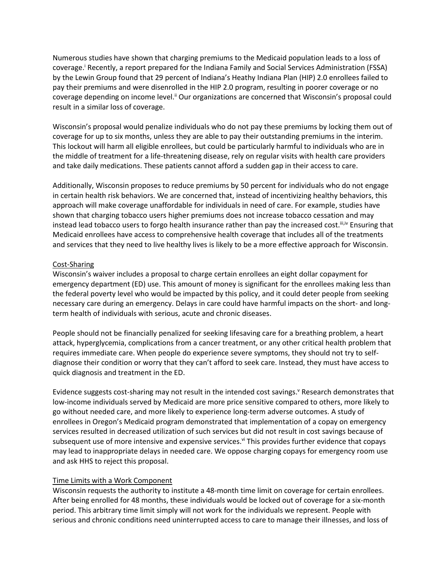Numerous studies have shown that charging premiums to the Medicaid population leads to a loss of coverage.<sup>1</sup> Recently, a report prepared for the Indiana Family and Social Services Administration (FSSA) by the Lewin Group found that 29 percent of Indiana's Heathy Indiana Plan (HIP) 2.0 enrollees failed to pay their premiums and were disenrolled in the HIP 2.0 program, resulting in poorer coverage or no coverage depending on income level.<sup>ii</sup> Our organizations are concerned that Wisconsin's proposal could result in a similar loss of coverage.

Wisconsin's proposal would penalize individuals who do not pay these premiums by locking them out of coverage for up to six months, unless they are able to pay their outstanding premiums in the interim. This lockout will harm all eligible enrollees, but could be particularly harmful to individuals who are in the middle of treatment for a life-threatening disease, rely on regular visits with health care providers and take daily medications. These patients cannot afford a sudden gap in their access to care.

Additionally, Wisconsin proposes to reduce premiums by 50 percent for individuals who do not engage in certain health risk behaviors. We are concerned that, instead of incentivizing healthy behaviors, this approach will make coverage unaffordable for individuals in need of care. For example, studies have shown that charging tobacco users higher premiums does not increase tobacco cessation and may instead lead tobacco users to forgo health insurance rather than pay the increased cost. III, IV Ensuring that Medicaid enrollees have access to comprehensive health coverage that includes all of the treatments and services that they need to live healthy lives is likely to be a more effective approach for Wisconsin.

## Cost-Sharing

Wisconsin's waiver includes a proposal to charge certain enrollees an eight dollar copayment for emergency department (ED) use. This amount of money is significant for the enrollees making less than the federal poverty level who would be impacted by this policy, and it could deter people from seeking necessary care during an emergency. Delays in care could have harmful impacts on the short- and longterm health of individuals with serious, acute and chronic diseases.

People should not be financially penalized for seeking lifesaving care for a breathing problem, a heart attack, hyperglycemia, complications from a cancer treatment, or any other critical health problem that requires immediate care. When people do experience severe symptoms, they should not try to selfdiagnose their condition or worry that they can't afford to seek care. Instead, they must have access to quick diagnosis and treatment in the ED.

Evidence suggests cost-sharing may not result in the intended cost savings.<sup>v</sup> Research demonstrates that low-income individuals served by Medicaid are more price sensitive compared to others, more likely to go without needed care, and more likely to experience long-term adverse outcomes. A study of enrollees in Oregon's Medicaid program demonstrated that implementation of a copay on emergency services resulted in decreased utilization of such services but did not result in cost savings because of subsequent use of more intensive and expensive services.<sup>vi</sup> This provides further evidence that copays may lead to inappropriate delays in needed care. We oppose charging copays for emergency room use and ask HHS to reject this proposal.

## Time Limits with a Work Component

Wisconsin requests the authority to institute a 48-month time limit on coverage for certain enrollees. After being enrolled for 48 months, these individuals would be locked out of coverage for a six-month period. This arbitrary time limit simply will not work for the individuals we represent. People with serious and chronic conditions need uninterrupted access to care to manage their illnesses, and loss of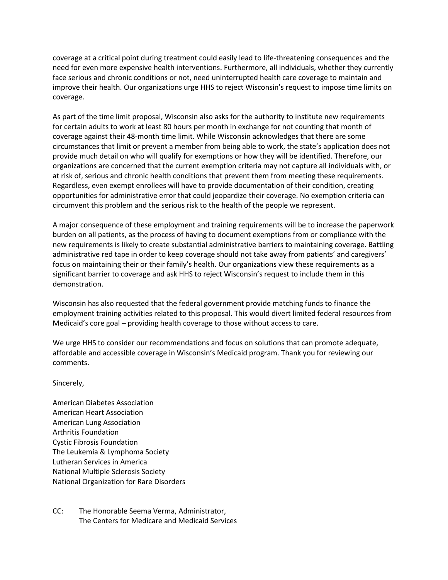coverage at a critical point during treatment could easily lead to life-threatening consequences and the need for even more expensive health interventions. Furthermore, all individuals, whether they currently face serious and chronic conditions or not, need uninterrupted health care coverage to maintain and improve their health. Our organizations urge HHS to reject Wisconsin's request to impose time limits on coverage.

As part of the time limit proposal, Wisconsin also asks for the authority to institute new requirements for certain adults to work at least 80 hours per month in exchange for not counting that month of coverage against their 48-month time limit. While Wisconsin acknowledges that there are some circumstances that limit or prevent a member from being able to work, the state's application does not provide much detail on who will qualify for exemptions or how they will be identified. Therefore, our organizations are concerned that the current exemption criteria may not capture all individuals with, or at risk of, serious and chronic health conditions that prevent them from meeting these requirements. Regardless, even exempt enrollees will have to provide documentation of their condition, creating opportunities for administrative error that could jeopardize their coverage. No exemption criteria can circumvent this problem and the serious risk to the health of the people we represent.

A major consequence of these employment and training requirements will be to increase the paperwork burden on all patients, as the process of having to document exemptions from or compliance with the new requirements is likely to create substantial administrative barriers to maintaining coverage. Battling administrative red tape in order to keep coverage should not take away from patients' and caregivers' focus on maintaining their or their family's health. Our organizations view these requirements as a significant barrier to coverage and ask HHS to reject Wisconsin's request to include them in this demonstration.

Wisconsin has also requested that the federal government provide matching funds to finance the employment training activities related to this proposal. This would divert limited federal resources from Medicaid's core goal – providing health coverage to those without access to care.

We urge HHS to consider our recommendations and focus on solutions that can promote adequate, affordable and accessible coverage in Wisconsin's Medicaid program. Thank you for reviewing our comments.

## Sincerely,

American Diabetes Association American Heart Association American Lung Association Arthritis Foundation Cystic Fibrosis Foundation The Leukemia & Lymphoma Society Lutheran Services in America National Multiple Sclerosis Society National Organization for Rare Disorders

CC: The Honorable Seema Verma, Administrator, The Centers for Medicare and Medicaid Services